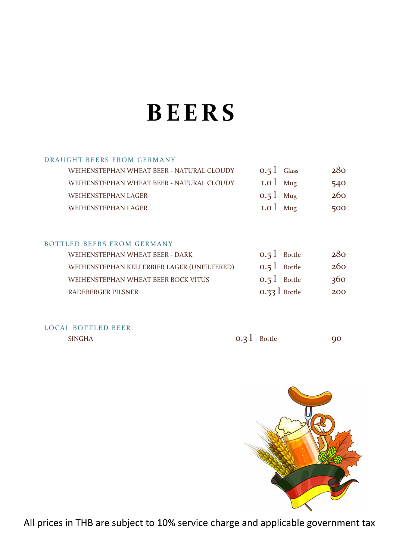# **BEERS**

#### DRAUGHT BEERS FROM GERMANY

| WEIHENSTEPHAN WHEAT BEER - NATURAL CLOUDY | $0.5$ $\sqrt{\phantom{0}}$ Glass | 280 |
|-------------------------------------------|----------------------------------|-----|
| WEIHENSTEPHAN WHEAT BEER - NATURAL CLOUDY | $1.0$ Mug                        | 540 |
| WEIHENSTEPHAN LAGER                       | $0.5$ Mug                        | 260 |
| <b>WEIHENSTEPHAN LAGER</b>                | $1.0$ Mug                        | 500 |

#### BOTTLED BEERS FROM GERMANY

| WEIHENSTEPHAN WHEAT BEER - DARK             | $0.5$ Bottle  | 280 |
|---------------------------------------------|---------------|-----|
| WEIHENSTEPHAN KELLERBIER LAGER (UNFILTERED) | $0.5$ Bottle  | 260 |
| WEIHENSTEPHAN WHEAT BEER BOCK VITUS         | $0.5$ Bottle  | 360 |
| RADEBERGER PILSNER                          | $0.33$ Bottle | 200 |

#### LOCAL BOTTLED BEER

| <b>SINGHA</b> | $0.3$ Bottle | Q <sub>O</sub> |
|---------------|--------------|----------------|
|---------------|--------------|----------------|

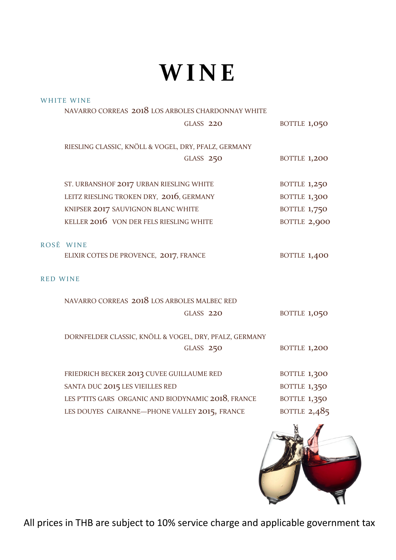# **WINE**

|                 | <b>WHITE WINE</b>                                      |                     |
|-----------------|--------------------------------------------------------|---------------------|
|                 | NAVARRO CORREAS 2018 LOS ARBOLES CHARDONNAY WHITE      |                     |
|                 | GLASS 220                                              | <b>BOTTLE 1,050</b> |
|                 |                                                        |                     |
|                 | RIESLING CLASSIC, KNÖLL & VOGEL, DRY, PFALZ, GERMANY   |                     |
|                 | GLASS 250                                              | <b>BOTTLE 1,200</b> |
|                 |                                                        |                     |
|                 | ST. URBANSHOF 2017 URBAN RIESLING WHITE                | <b>BOTTLE 1,250</b> |
|                 | LEITZ RIESLING TROKEN DRY, 2016, GERMANY               | <b>BOTTLE 1,300</b> |
|                 | KNIPSER 2017 SAUVIGNON BLANC WHITE                     | <b>BOTTLE 1,750</b> |
|                 | KELLER 2016 VON DER FELS RIESLING WHITE                | BOTTLE 2,900        |
|                 |                                                        |                     |
|                 | ROSÉ WINE                                              |                     |
|                 | ELIXIR COTES DE PROVENCE, 2017, FRANCE                 | <b>BOTTLE 1,400</b> |
|                 |                                                        |                     |
| <b>RED WINE</b> |                                                        |                     |
|                 | NAVARRO CORREAS 2018 LOS ARBOLES MALBEC RED            |                     |
|                 | <b>GLASS 220</b>                                       | <b>BOTTLE 1,050</b> |
|                 |                                                        |                     |
|                 | DORNFELDER CLASSIC, KNÖLL & VOGEL, DRY, PFALZ, GERMANY |                     |
|                 | GLASS 250                                              | <b>BOTTLE 1,200</b> |
|                 |                                                        |                     |
|                 | FRIEDRICH BECKER 2013 CUVEE GUILLAUME RED              | <b>BOTTLE 1,300</b> |
|                 | SANTA DUC 2015 LES VIEILLES RED                        | <b>BOTTLE 1,350</b> |
|                 | LES P'TITS GARS ORGANIC AND BIODYNAMIC 2018, FRANCE    | <b>BOTTLE 1,350</b> |
|                 | LES DOUYES CAIRANNE-PHONE VALLEY 2015, FRANCE          | BOTTLE $2,485$      |
|                 |                                                        |                     |
|                 |                                                        | E                   |

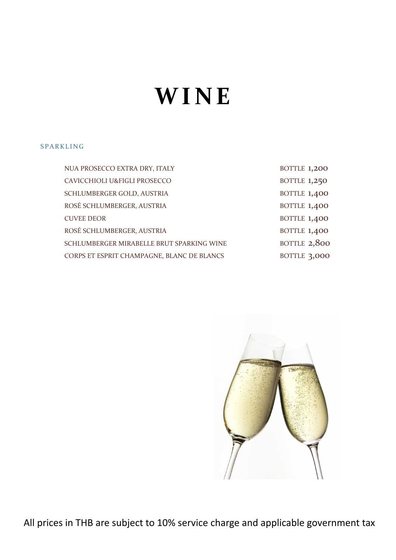# **WINE**

#### SPARKLING

| NUA PROSECCO EXTRA DRY, ITALY              | <b>BOTTLE 1,200</b> |
|--------------------------------------------|---------------------|
| CAVICCHIOLI U&FIGLI PROSECCO               | <b>BOTTLE 1,250</b> |
| SCHLUMBERGER GOLD, AUSTRIA                 | <b>BOTTLE 1,400</b> |
| ROSÉ SCHLUMBERGER, AUSTRIA                 | <b>BOTTLE 1,400</b> |
| <b>CUVEE DEOR</b>                          | <b>BOTTLE 1,400</b> |
| ROSÉ SCHLUMBERGER, AUSTRIA                 | <b>BOTTLE 1,400</b> |
| SCHLUMBERGER MIRABELLE BRUT SPARKING WINE  | BOTTLE 2,800        |
| CORPS ET ESPRIT CHAMPAGNE, BLANC DE BLANCS | <b>BOTTLE 3,000</b> |

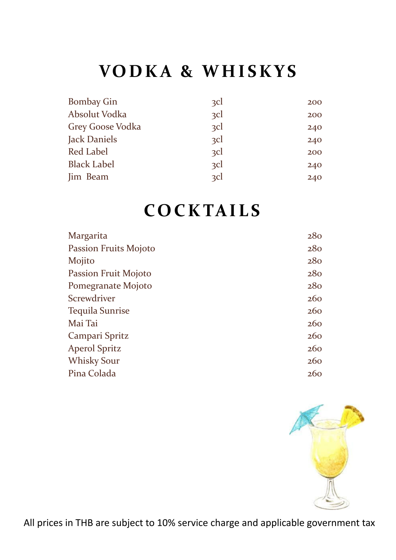## **VODKA & WHISKYS**

| <b>Bombay Gin</b>  | 3 <sup>c</sup> | 200 |
|--------------------|----------------|-----|
| Absolut Vodka      | $\Omega$       | 200 |
| Grey Goose Vodka   | $\Omega$       | 240 |
| Jack Daniels       | zcl            | 240 |
| Red Label          | zcl            | 200 |
| <b>Black Label</b> | zcl            | 240 |
| Jim Beam           | $\Omega$       | 240 |

### **COCKTAILS**

| Margarita              | 280 |
|------------------------|-----|
| Passion Fruits Mojoto  | 280 |
| Mojito                 | 280 |
| Passion Fruit Mojoto   | 280 |
| Pomegranate Mojoto     | 280 |
| Screwdriver            | 260 |
| <b>Tequila Sunrise</b> | 260 |
| Mai Tai                | 260 |
| Campari Spritz         | 260 |
| <b>Aperol Spritz</b>   | 260 |
| <b>Whisky Sour</b>     | 260 |
| Pina Colada            | 260 |

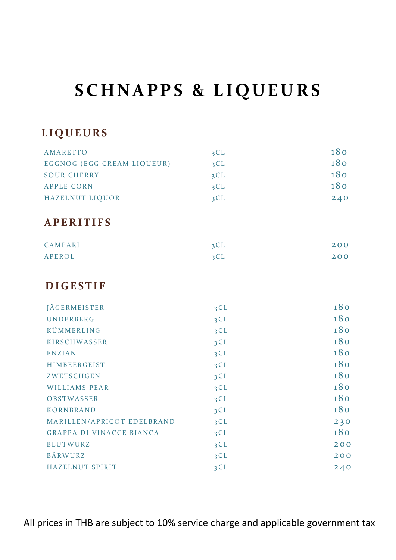## **SCHNAPPS & LIQUEURS**

#### **LIQUEURS**

| <b>AMARETTO</b>                 | 3CL | 180 |
|---------------------------------|-----|-----|
| EGGNOG (EGG CREAM LIQUEUR)      | 3CL | 180 |
| <b>SOUR CHERRY</b>              | 3CL | 180 |
| <b>APPLE CORN</b>               | 3CL | 180 |
| HAZELNUT LIQUOR                 | 3CL | 240 |
| <b>APERITIFS</b>                |     |     |
| CAMPARI                         | 3CL | 200 |
| <b>APEROL</b>                   | 3CL | 200 |
| <b>DIGESTIF</b>                 |     |     |
| <b>JÄGERMEISTER</b>             | 3CL | 180 |
| UNDERBERG                       | 3CL | 180 |
| KÜMMERLING                      | 3CL | 180 |
| <b>KIRSCHWASSER</b>             | 3CL | 180 |
| <b>ENZIAN</b>                   | 3CL | 180 |
| HIMBEERGEIST                    | 3CL | 180 |
| ZWETSCHGEN                      | 3CL | 180 |
| <b>WILLIAMS PEAR</b>            | 3CL | 180 |
| OBSTWASSER                      | 3CL | 180 |
| <b>KORNBRAND</b>                | 3CL | 180 |
| MARILLEN/APRICOT EDELBRAND      | 3CL | 230 |
| <b>GRAPPA DI VINACCE BIANCA</b> | 3CL | 180 |
| <b>BLUTWURZ</b>                 | 3CL | 200 |
| BÄRWURZ                         | 3CL | 200 |
| HAZELNUT SPIRIT                 | 3CL | 240 |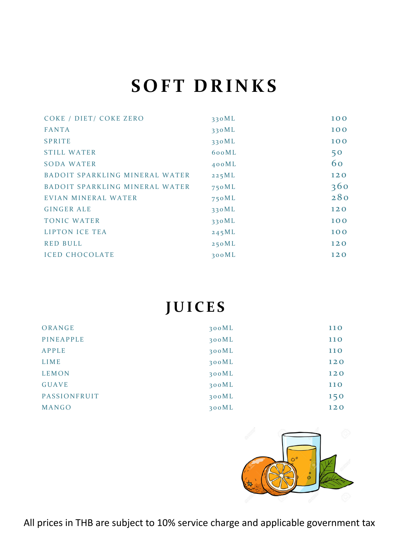## **SOFT DRINKS**

| COKE / DIET/ COKE ZERO         | 330ML | 100 |
|--------------------------------|-------|-----|
| <b>FANTA</b>                   | 330ML | 100 |
| <b>SPRITE</b>                  | 330ML | 100 |
| <b>STILL WATER</b>             | 600ML | 50  |
| <b>SODA WATER</b>              | 400ML | 60  |
| BADOIT SPARKLING MINERAL WATER | 225ML | 120 |
| BADOIT SPARKLING MINERAL WATER | 750ML | 360 |
| EVIAN MINERAL WATER            | 750ML | 280 |
| <b>GINGER ALE</b>              | 330ML | 120 |
| <b>TONIC WATER</b>             | 330ML | 100 |
| <b>LIPTON ICE TEA</b>          | 245ML | 100 |
| <b>RED BULL</b>                | 250ML | 120 |
| <b>ICED CHOCOLATE</b>          | 300ML | 120 |

### **JUICES**

| ORANGE       | 300ML | <b>110</b> |
|--------------|-------|------------|
| PINEAPPLE    | 300ML | <b>110</b> |
| <b>APPLE</b> | 300ML | <b>110</b> |
| LIME         | 300ML | 120        |
| <b>LEMON</b> | 300ML | 120        |
| <b>GUAVE</b> | 300ML | <b>110</b> |
| PASSIONFRUIT | 300ML | 150        |
| MANGO        | 300ML | 120        |